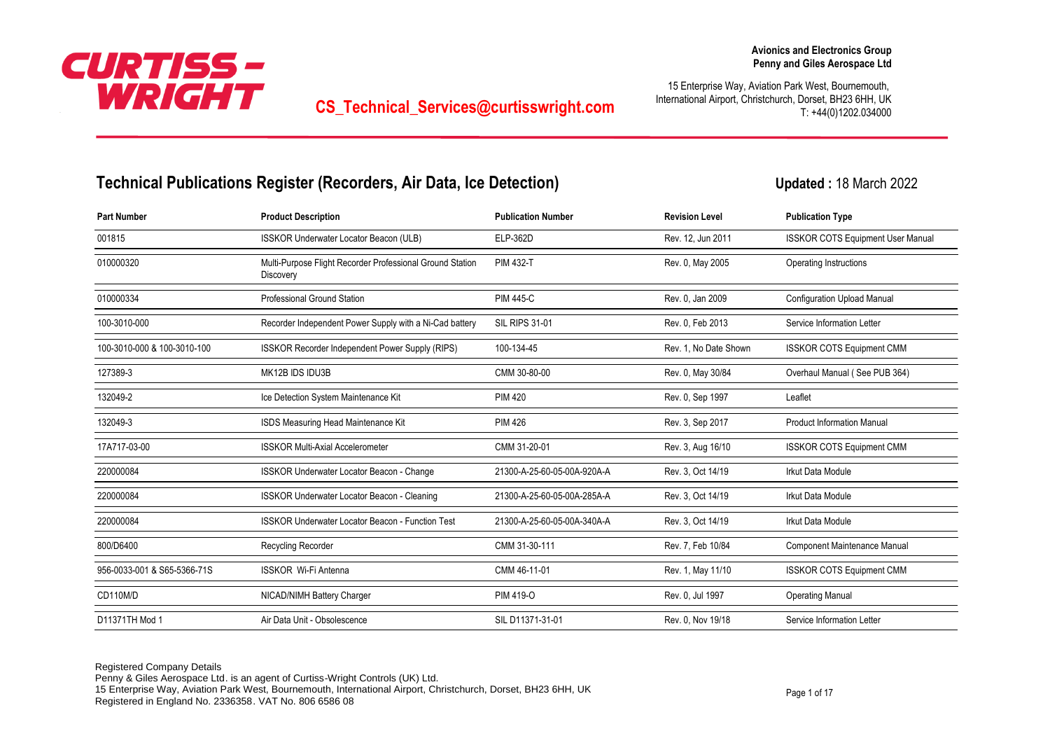

15 Enterprise Way, Aviation Park West, Bournemouth, International Airport, Christchurch, Dorset, BH23 6HH, UK T: +44(0)1202.034000

# **Technical Publications Register (Recorders, Air Data, Ice Detection)**

| <b>Part Number</b>          | <b>Product Description</b>                                             | <b>Publication Number</b>   | <b>Revision Level</b> | <b>Publication Type</b>                  |
|-----------------------------|------------------------------------------------------------------------|-----------------------------|-----------------------|------------------------------------------|
| 001815                      | ISSKOR Underwater Locator Beacon (ULB)                                 | ELP-362D                    | Rev. 12, Jun 2011     | <b>ISSKOR COTS Equipment User Manual</b> |
| 010000320                   | Multi-Purpose Flight Recorder Professional Ground Station<br>Discovery | <b>PIM 432-T</b>            | Rev. 0, May 2005      | Operating Instructions                   |
| 010000334                   | Professional Ground Station                                            | <b>PIM 445-C</b>            | Rev. 0, Jan 2009      | <b>Configuration Upload Manual</b>       |
| 100-3010-000                | Recorder Independent Power Supply with a Ni-Cad battery                | <b>SIL RIPS 31-01</b>       | Rev. 0, Feb 2013      | Service Information Letter               |
| 100-3010-000 & 100-3010-100 | <b>ISSKOR Recorder Independent Power Supply (RIPS)</b>                 | 100-134-45                  | Rev. 1, No Date Shown | <b>ISSKOR COTS Equipment CMM</b>         |
| 127389-3                    | MK12B IDS IDU3B                                                        | CMM 30-80-00                | Rev. 0, May 30/84     | Overhaul Manual (See PUB 364)            |
| 132049-2                    | Ice Detection System Maintenance Kit                                   | <b>PIM 420</b>              | Rev. 0, Sep 1997      | Leaflet                                  |
| 132049-3                    | ISDS Measuring Head Maintenance Kit                                    | <b>PIM 426</b>              | Rev. 3, Sep 2017      | <b>Product Information Manual</b>        |
| 17A717-03-00                | <b>ISSKOR Multi-Axial Accelerometer</b>                                | CMM 31-20-01                | Rev. 3, Aug 16/10     | <b>ISSKOR COTS Equipment CMM</b>         |
| 220000084                   | ISSKOR Underwater Locator Beacon - Change                              | 21300-A-25-60-05-00A-920A-A | Rev. 3, Oct 14/19     | <b>Irkut Data Module</b>                 |
| 220000084                   | ISSKOR Underwater Locator Beacon - Cleaning                            | 21300-A-25-60-05-00A-285A-A | Rev. 3, Oct 14/19     | Irkut Data Module                        |
| 220000084                   | <b>ISSKOR Underwater Locator Beacon - Function Test</b>                | 21300-A-25-60-05-00A-340A-A | Rev. 3, Oct 14/19     | <b>Irkut Data Module</b>                 |
| 800/D6400                   | Recycling Recorder                                                     | CMM 31-30-111               | Rev. 7, Feb 10/84     | <b>Component Maintenance Manual</b>      |
| 956-0033-001 & S65-5366-71S | <b>ISSKOR Wi-Fi Antenna</b>                                            | CMM 46-11-01                | Rev. 1, May 11/10     | <b>ISSKOR COTS Equipment CMM</b>         |
| <b>CD110M/D</b>             | NICAD/NIMH Battery Charger                                             | <b>PIM 419-0</b>            | Rev. 0, Jul 1997      | <b>Operating Manual</b>                  |
| D11371TH Mod 1              | Air Data Unit - Obsolescence                                           | SIL D11371-31-01            | Rev. 0, Nov 19/18     | Service Information Letter               |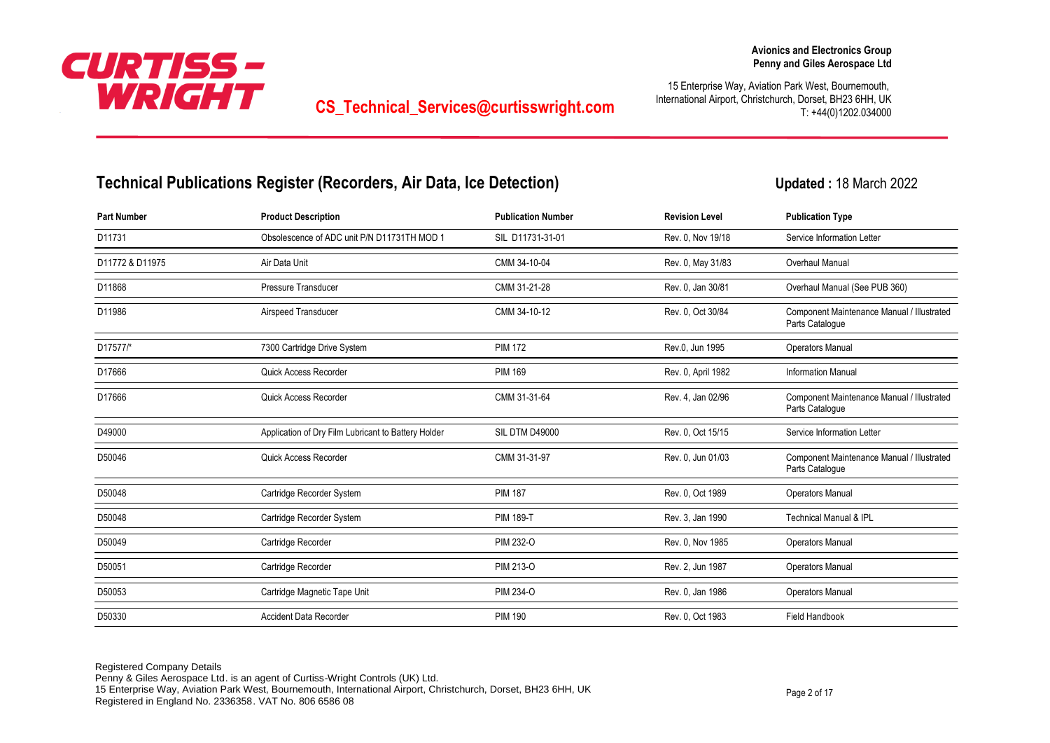

15 Enterprise Way, Aviation Park West, Bournemouth, International Airport, Christchurch, Dorset, BH23 6HH, UK T: +44(0)1202.034000

### **Technical Publications Register (Recorders, Air Data, Ice Detection)**

| <b>Part Number</b> | <b>Product Description</b>                          | <b>Publication Number</b> | <b>Revision Level</b> | <b>Publication Type</b>                                       |
|--------------------|-----------------------------------------------------|---------------------------|-----------------------|---------------------------------------------------------------|
| D11731             | Obsolescence of ADC unit P/N D11731TH MOD 1         | SIL D11731-31-01          | Rev. 0, Nov 19/18     | Service Information Letter                                    |
| D11772 & D11975    | Air Data Unit                                       | CMM 34-10-04              | Rev. 0, May 31/83     | Overhaul Manual                                               |
| D11868             | Pressure Transducer                                 | CMM 31-21-28              | Rev. 0, Jan 30/81     | Overhaul Manual (See PUB 360)                                 |
| D11986             | Airspeed Transducer                                 | CMM 34-10-12              | Rev. 0, Oct 30/84     | Component Maintenance Manual / Illustrated<br>Parts Catalogue |
| D17577/*           | 7300 Cartridge Drive System                         | <b>PIM 172</b>            | Rev.0, Jun 1995       | Operators Manual                                              |
| D17666             | Quick Access Recorder                               | <b>PIM 169</b>            | Rev. 0, April 1982    | <b>Information Manual</b>                                     |
| D17666             | Quick Access Recorder                               | CMM 31-31-64              | Rev. 4, Jan 02/96     | Component Maintenance Manual / Illustrated<br>Parts Catalogue |
| D49000             | Application of Dry Film Lubricant to Battery Holder | <b>SIL DTM D49000</b>     | Rev. 0, Oct 15/15     | Service Information Letter                                    |
| D50046             | Quick Access Recorder                               | CMM 31-31-97              | Rev. 0, Jun 01/03     | Component Maintenance Manual / Illustrated<br>Parts Catalogue |
| D50048             | Cartridge Recorder System                           | <b>PIM 187</b>            | Rev. 0, Oct 1989      | <b>Operators Manual</b>                                       |
| D50048             | Cartridge Recorder System                           | <b>PIM 189-T</b>          | Rev. 3, Jan 1990      | <b>Technical Manual &amp; IPL</b>                             |
| D50049             | Cartridge Recorder                                  | PIM 232-O                 | Rev. 0, Nov 1985      | Operators Manual                                              |
| D50051             | Cartridge Recorder                                  | PIM 213-O                 | Rev. 2, Jun 1987      | <b>Operators Manual</b>                                       |
| D50053             | Cartridge Magnetic Tape Unit                        | PIM 234-O                 | Rev. 0, Jan 1986      | Operators Manual                                              |
| D50330             | <b>Accident Data Recorder</b>                       | <b>PIM 190</b>            | Rev. 0, Oct 1983      | <b>Field Handbook</b>                                         |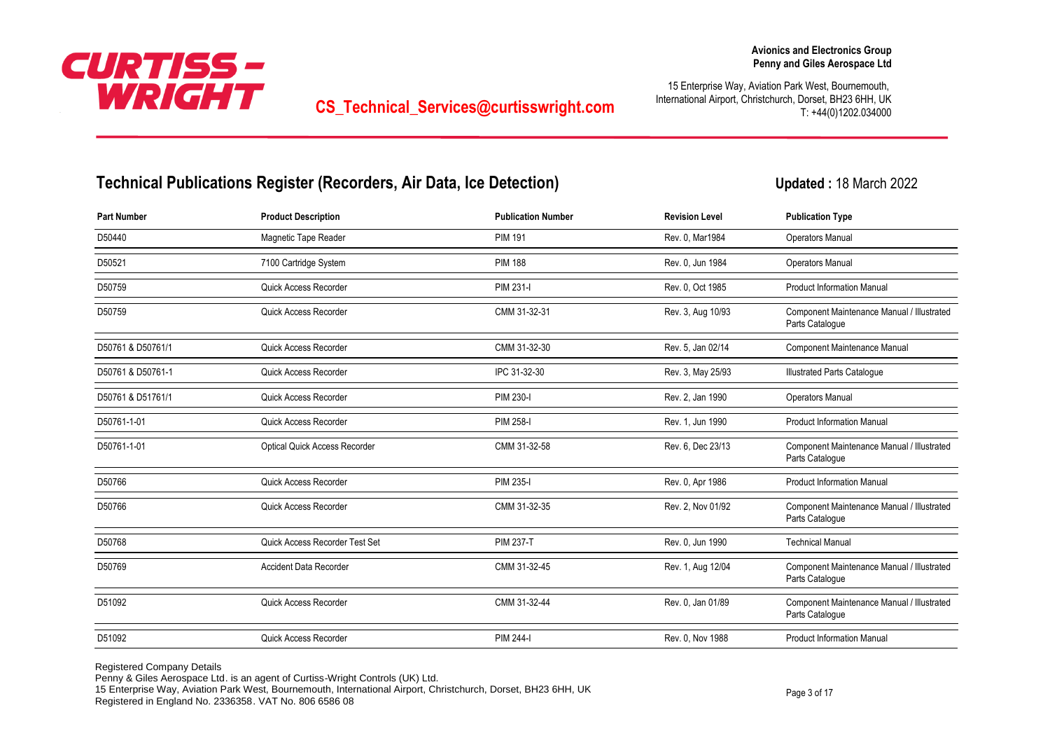

15 Enterprise Way, Aviation Park West, Bournemouth, International Airport, Christchurch, Dorset, BH23 6HH, UK T: +44(0)1202.034000

### **Technical Publications Register (Recorders, Air Data, Ice Detection)**

**Updated :** 18 March 2022

| <b>Part Number</b> | <b>Product Description</b>           | <b>Publication Number</b> | <b>Revision Level</b> | <b>Publication Type</b>                                       |
|--------------------|--------------------------------------|---------------------------|-----------------------|---------------------------------------------------------------|
| D50440             | Magnetic Tape Reader                 | <b>PIM 191</b>            | Rev. 0, Mar1984       | <b>Operators Manual</b>                                       |
| D50521             | 7100 Cartridge System                | <b>PIM 188</b>            | Rev. 0, Jun 1984      | <b>Operators Manual</b>                                       |
| D50759             | Quick Access Recorder                | PIM 231-I                 | Rev. 0, Oct 1985      | <b>Product Information Manual</b>                             |
| D50759             | Quick Access Recorder                | CMM 31-32-31              | Rev. 3, Aug 10/93     | Component Maintenance Manual / Illustrated<br>Parts Catalogue |
| D50761 & D50761/1  | Quick Access Recorder                | CMM 31-32-30              | Rev. 5, Jan 02/14     | Component Maintenance Manual                                  |
| D50761 & D50761-1  | Quick Access Recorder                | IPC 31-32-30              | Rev. 3, May 25/93     | <b>Illustrated Parts Catalogue</b>                            |
| D50761 & D51761/1  | Quick Access Recorder                | PIM 230-I                 | Rev. 2, Jan 1990      | Operators Manual                                              |
| D50761-1-01        | Quick Access Recorder                | PIM 258-I                 | Rev. 1, Jun 1990      | <b>Product Information Manual</b>                             |
| D50761-1-01        | <b>Optical Quick Access Recorder</b> | CMM 31-32-58              | Rev. 6, Dec 23/13     | Component Maintenance Manual / Illustrated<br>Parts Catalogue |
| D50766             | Quick Access Recorder                | PIM 235-I                 | Rev. 0, Apr 1986      | <b>Product Information Manual</b>                             |
| D50766             | Quick Access Recorder                | CMM 31-32-35              | Rev. 2, Nov 01/92     | Component Maintenance Manual / Illustrated<br>Parts Catalogue |
| D50768             | Quick Access Recorder Test Set       | <b>PIM 237-T</b>          | Rev. 0, Jun 1990      | <b>Technical Manual</b>                                       |
| D50769             | <b>Accident Data Recorder</b>        | CMM 31-32-45              | Rev. 1, Aug 12/04     | Component Maintenance Manual / Illustrated<br>Parts Catalogue |
| D51092             | Quick Access Recorder                | CMM 31-32-44              | Rev. 0, Jan 01/89     | Component Maintenance Manual / Illustrated<br>Parts Catalogue |
| D51092             | Quick Access Recorder                | PIM 244-I                 | Rev. 0, Nov 1988      | <b>Product Information Manual</b>                             |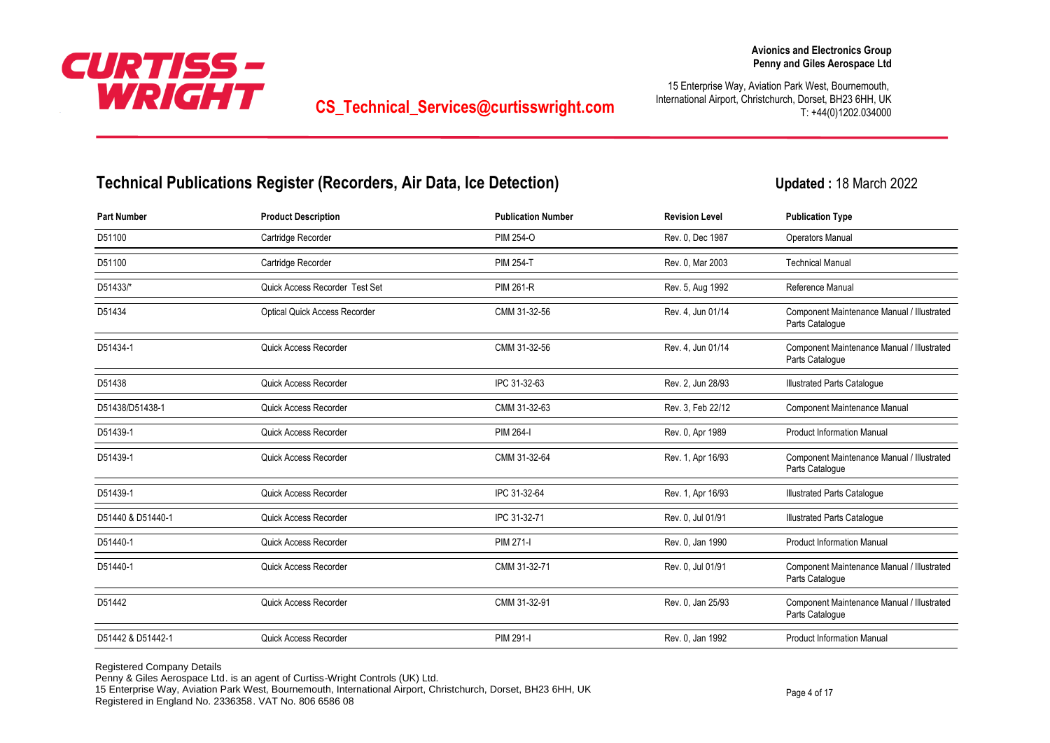

15 Enterprise Way, Aviation Park West, Bournemouth, International Airport, Christchurch, Dorset, BH23 6HH, UK T: +44(0)1202.034000

## **Technical Publications Register (Recorders, Air Data, Ice Detection)**

**Updated :** 18 March 2022

| <b>Part Number</b> | <b>Product Description</b>           | <b>Publication Number</b> | <b>Revision Level</b> | <b>Publication Type</b>                                       |
|--------------------|--------------------------------------|---------------------------|-----------------------|---------------------------------------------------------------|
| D51100             | Cartridge Recorder                   | PIM 254-O                 | Rev. 0, Dec 1987      | <b>Operators Manual</b>                                       |
| D51100             | Cartridge Recorder                   | <b>PIM 254-T</b>          | Rev. 0, Mar 2003      | <b>Technical Manual</b>                                       |
| D51433/*           | Quick Access Recorder Test Set       | <b>PIM 261-R</b>          | Rev. 5, Aug 1992      | Reference Manual                                              |
| D51434             | <b>Optical Quick Access Recorder</b> | CMM 31-32-56              | Rev. 4, Jun 01/14     | Component Maintenance Manual / Illustrated<br>Parts Catalogue |
| D51434-1           | Quick Access Recorder                | CMM 31-32-56              | Rev. 4, Jun 01/14     | Component Maintenance Manual / Illustrated<br>Parts Catalogue |
| D51438             | Quick Access Recorder                | IPC 31-32-63              | Rev. 2, Jun 28/93     | <b>Illustrated Parts Catalogue</b>                            |
| D51438/D51438-1    | Quick Access Recorder                | CMM 31-32-63              | Rev. 3, Feb 22/12     | Component Maintenance Manual                                  |
| D51439-1           | Quick Access Recorder                | PIM 264-I                 | Rev. 0, Apr 1989      | <b>Product Information Manual</b>                             |
| D51439-1           | Quick Access Recorder                | CMM 31-32-64              | Rev. 1, Apr 16/93     | Component Maintenance Manual / Illustrated<br>Parts Catalogue |
| D51439-1           | Quick Access Recorder                | IPC 31-32-64              | Rev. 1, Apr 16/93     | <b>Illustrated Parts Catalogue</b>                            |
| D51440 & D51440-1  | Quick Access Recorder                | IPC 31-32-71              | Rev. 0, Jul 01/91     | <b>Illustrated Parts Catalogue</b>                            |
| D51440-1           | Quick Access Recorder                | PIM 271-                  | Rev. 0, Jan 1990      | <b>Product Information Manual</b>                             |
| D51440-1           | Quick Access Recorder                | CMM 31-32-71              | Rev. 0, Jul 01/91     | Component Maintenance Manual / Illustrated<br>Parts Catalogue |
| D51442             | Quick Access Recorder                | CMM 31-32-91              | Rev. 0, Jan 25/93     | Component Maintenance Manual / Illustrated<br>Parts Catalogue |
| D51442 & D51442-1  | Quick Access Recorder                | PIM 291-I                 | Rev. 0, Jan 1992      | <b>Product Information Manual</b>                             |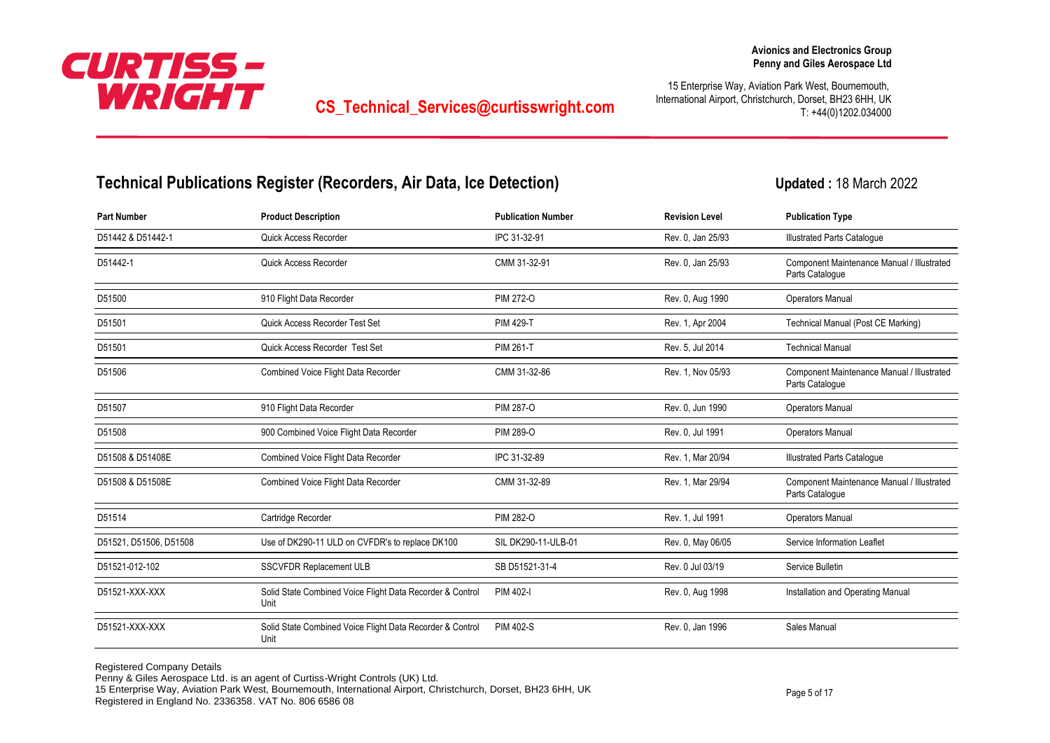

15 Enterprise Way, Aviation Park West, Bournemouth, International Airport, Christchurch, Dorset, BH23 6HH, UK T: +44(0)1202.034000

## **Technical Publications Register (Recorders, Air Data, Ice Detection)**

**Updated :** 18 March 2022

| <b>Part Number</b>     | <b>Product Description</b>                                        | <b>Publication Number</b> | <b>Revision Level</b> | <b>Publication Type</b>                                       |
|------------------------|-------------------------------------------------------------------|---------------------------|-----------------------|---------------------------------------------------------------|
| D51442 & D51442-1      | Quick Access Recorder                                             | IPC 31-32-91              | Rev. 0, Jan 25/93     | <b>Illustrated Parts Cataloque</b>                            |
| D51442-1               | Quick Access Recorder                                             | CMM 31-32-91              | Rev. 0, Jan 25/93     | Component Maintenance Manual / Illustrated<br>Parts Catalogue |
| D51500                 | 910 Flight Data Recorder                                          | <b>PIM 272-O</b>          | Rev. 0, Aug 1990      | <b>Operators Manual</b>                                       |
| D51501                 | Quick Access Recorder Test Set                                    | <b>PIM 429-T</b>          | Rev. 1, Apr 2004      | Technical Manual (Post CE Marking)                            |
| D51501                 | Quick Access Recorder Test Set                                    | <b>PIM 261-T</b>          | Rev. 5, Jul 2014      | <b>Technical Manual</b>                                       |
| D51506                 | Combined Voice Flight Data Recorder                               | CMM 31-32-86              | Rev. 1, Nov 05/93     | Component Maintenance Manual / Illustrated<br>Parts Catalogue |
| D51507                 | 910 Flight Data Recorder                                          | <b>PIM 287-O</b>          | Rev. 0, Jun 1990      | Operators Manual                                              |
| D51508                 | 900 Combined Voice Flight Data Recorder                           | <b>PIM 289-O</b>          | Rev. 0, Jul 1991      | Operators Manual                                              |
| D51508 & D51408E       | Combined Voice Flight Data Recorder                               | IPC 31-32-89              | Rev. 1. Mar 20/94     | <b>Illustrated Parts Cataloque</b>                            |
| D51508 & D51508E       | Combined Voice Flight Data Recorder                               | CMM 31-32-89              | Rev. 1, Mar 29/94     | Component Maintenance Manual / Illustrated<br>Parts Catalogue |
| D51514                 | Cartridge Recorder                                                | <b>PIM 282-O</b>          | Rev. 1, Jul 1991      | <b>Operators Manual</b>                                       |
| D51521, D51506, D51508 | Use of DK290-11 ULD on CVFDR's to replace DK100                   | SIL DK290-11-ULB-01       | Rev. 0, May 06/05     | Service Information Leaflet                                   |
| D51521-012-102         | SSCVFDR Replacement ULB                                           | SB D51521-31-4            | Rev. 0 Jul 03/19      | Service Bulletin                                              |
| D51521-XXX-XXX         | Solid State Combined Voice Flight Data Recorder & Control<br>Unit | PIM 402-I                 | Rev. 0, Aug 1998      | Installation and Operating Manual                             |
| D51521-XXX-XXX         | Solid State Combined Voice Flight Data Recorder & Control<br>Unit | <b>PIM 402-S</b>          | Rev. 0, Jan 1996      | Sales Manual                                                  |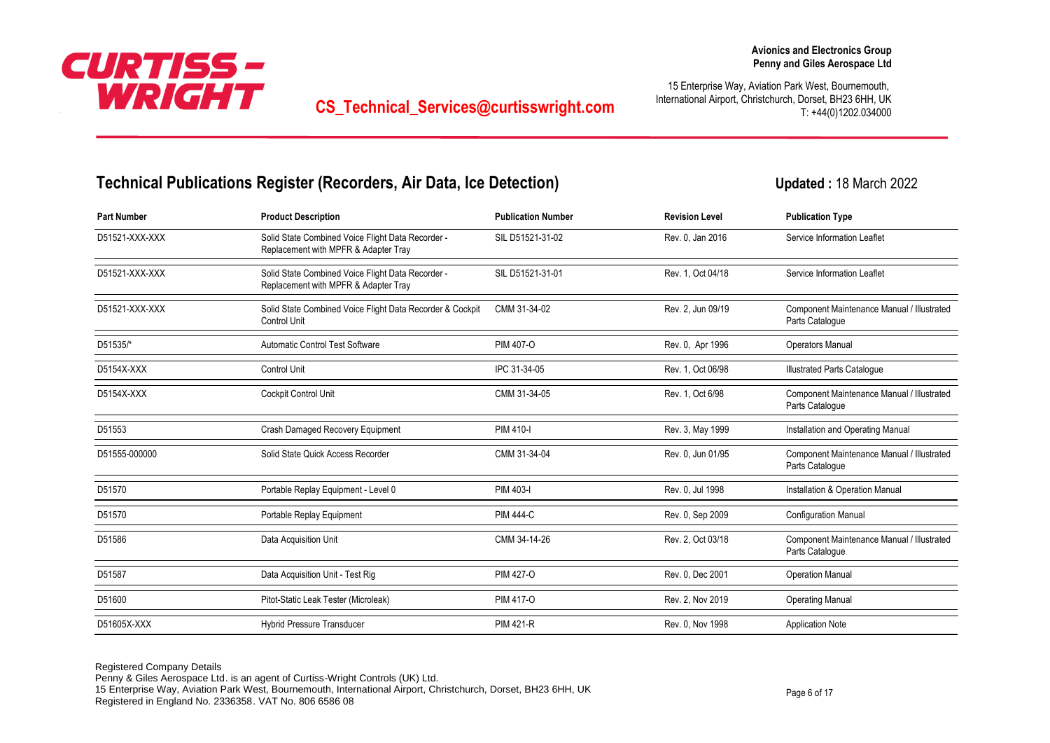

15 Enterprise Way, Aviation Park West, Bournemouth, International Airport, Christchurch, Dorset, BH23 6HH, UK T: +44(0)1202.034000

# **Technical Publications Register (Recorders, Air Data, Ice Detection)**

| <b>Part Number</b> | <b>Product Description</b>                                                                | <b>Publication Number</b> | <b>Revision Level</b> | <b>Publication Type</b>                                       |
|--------------------|-------------------------------------------------------------------------------------------|---------------------------|-----------------------|---------------------------------------------------------------|
| D51521-XXX-XXX     | Solid State Combined Voice Flight Data Recorder -<br>Replacement with MPFR & Adapter Tray | SIL D51521-31-02          | Rev. 0, Jan 2016      | Service Information Leaflet                                   |
| D51521-XXX-XXX     | Solid State Combined Voice Flight Data Recorder -<br>Replacement with MPFR & Adapter Tray | SIL D51521-31-01          | Rev. 1, Oct 04/18     | Service Information Leaflet                                   |
| D51521-XXX-XXX     | Solid State Combined Voice Flight Data Recorder & Cockpit<br><b>Control Unit</b>          | CMM 31-34-02              | Rev. 2, Jun 09/19     | Component Maintenance Manual / Illustrated<br>Parts Catalogue |
| D51535/*           | Automatic Control Test Software                                                           | PIM 407-O                 | Rev. 0, Apr 1996      | Operators Manual                                              |
| D5154X-XXX         | Control Unit                                                                              | IPC 31-34-05              | Rev. 1, Oct 06/98     | <b>Illustrated Parts Catalogue</b>                            |
| D5154X-XXX         | <b>Cockpit Control Unit</b>                                                               | CMM 31-34-05              | Rev. 1, Oct 6/98      | Component Maintenance Manual / Illustrated<br>Parts Catalogue |
| D51553             | Crash Damaged Recovery Equipment                                                          | PIM 410-I                 | Rev. 3, May 1999      | Installation and Operating Manual                             |
| D51555-000000      | Solid State Quick Access Recorder                                                         | CMM 31-34-04              | Rev. 0, Jun 01/95     | Component Maintenance Manual / Illustrated<br>Parts Catalogue |
| D51570             | Portable Replay Equipment - Level 0                                                       | PIM 403-I                 | Rev. 0, Jul 1998      | Installation & Operation Manual                               |
| D51570             | Portable Replay Equipment                                                                 | <b>PIM 444-C</b>          | Rev. 0, Sep 2009      | <b>Configuration Manual</b>                                   |
| D51586             | Data Acquisition Unit                                                                     | CMM 34-14-26              | Rev. 2, Oct 03/18     | Component Maintenance Manual / Illustrated<br>Parts Catalogue |
| D51587             | Data Acquisition Unit - Test Rig                                                          | <b>PIM 427-0</b>          | Rev. 0, Dec 2001      | <b>Operation Manual</b>                                       |
| D51600             | Pitot-Static Leak Tester (Microleak)                                                      | <b>PIM 417-0</b>          | Rev. 2, Nov 2019      | <b>Operating Manual</b>                                       |
| D51605X-XXX        | <b>Hybrid Pressure Transducer</b>                                                         | <b>PIM 421-R</b>          | Rev. 0, Nov 1998      | <b>Application Note</b>                                       |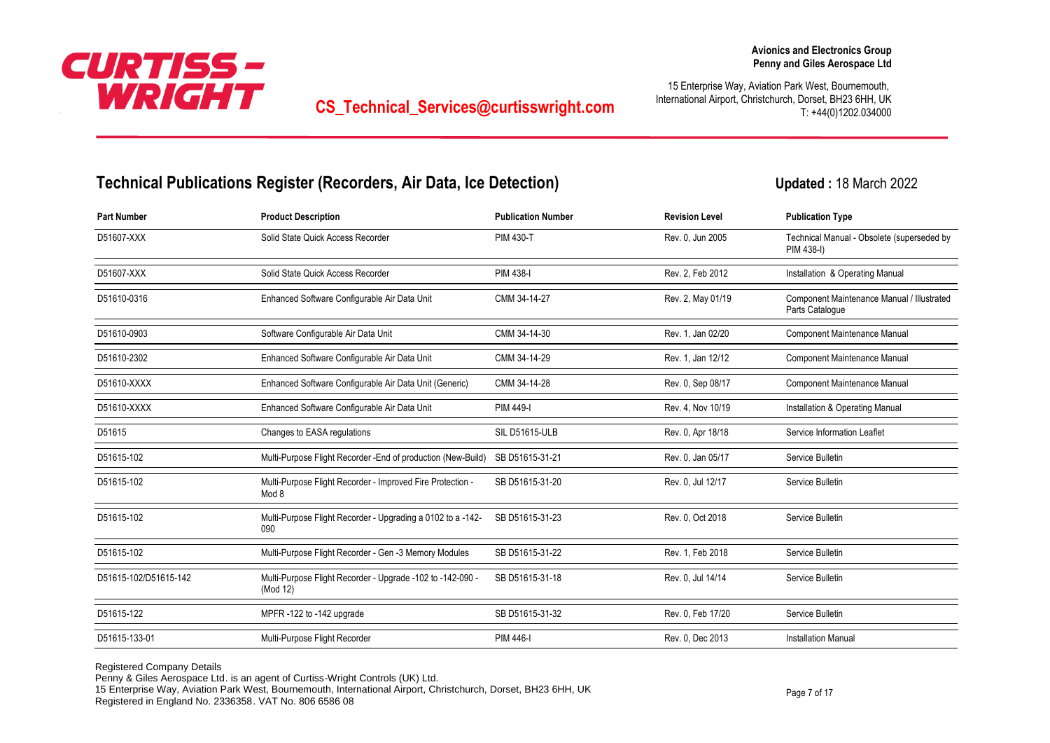

15 Enterprise Way, Aviation Park West, Bournemouth, International Airport, Christchurch, Dorset, BH23 6HH, UK T: +44(0)1202.034000

# **Technical Publications Register (Recorders, Air Data, Ice Detection)**

**Updated :** 18 March 2022

| <b>Part Number</b>    | <b>Product Description</b>                                             | <b>Publication Number</b> | <b>Revision Level</b> | <b>Publication Type</b>                                       |
|-----------------------|------------------------------------------------------------------------|---------------------------|-----------------------|---------------------------------------------------------------|
| D51607-XXX            | Solid State Quick Access Recorder                                      | <b>PIM 430-T</b>          | Rev. 0, Jun 2005      | Technical Manual - Obsolete (superseded by<br>PIM 438-I)      |
| D51607-XXX            | Solid State Quick Access Recorder                                      | PIM 438-I                 | Rev. 2. Feb 2012      | Installation & Operating Manual                               |
| D51610-0316           | Enhanced Software Configurable Air Data Unit                           | CMM 34-14-27              | Rev. 2, May 01/19     | Component Maintenance Manual / Illustrated<br>Parts Catalogue |
| D51610-0903           | Software Configurable Air Data Unit                                    | CMM 34-14-30              | Rev. 1, Jan 02/20     | <b>Component Maintenance Manual</b>                           |
| D51610-2302           | Enhanced Software Configurable Air Data Unit                           | CMM 34-14-29              | Rev. 1, Jan 12/12     | Component Maintenance Manual                                  |
| D51610-XXXX           | Enhanced Software Configurable Air Data Unit (Generic)                 | CMM 34-14-28              | Rev. 0, Sep 08/17     | Component Maintenance Manual                                  |
| D51610-XXXX           | Enhanced Software Configurable Air Data Unit                           | <b>PIM 449-1</b>          | Rev. 4, Nov 10/19     | Installation & Operating Manual                               |
| D51615                | Changes to EASA regulations                                            | <b>SIL D51615-ULB</b>     | Rev. 0, Apr 18/18     | Service Information Leaflet                                   |
| D51615-102            | Multi-Purpose Flight Recorder - End of production (New-Build)          | SB D51615-31-21           | Rev. 0, Jan 05/17     | Service Bulletin                                              |
| D51615-102            | Multi-Purpose Flight Recorder - Improved Fire Protection -<br>Mod 8    | SB D51615-31-20           | Rev. 0, Jul 12/17     | Service Bulletin                                              |
| D51615-102            | Multi-Purpose Flight Recorder - Upgrading a 0102 to a -142-<br>090     | SB D51615-31-23           | Rev. 0, Oct 2018      | Service Bulletin                                              |
| D51615-102            | Multi-Purpose Flight Recorder - Gen -3 Memory Modules                  | SB D51615-31-22           | Rev. 1, Feb 2018      | Service Bulletin                                              |
| D51615-102/D51615-142 | Multi-Purpose Flight Recorder - Upgrade -102 to -142-090 -<br>(Mod 12) | SB D51615-31-18           | Rev. 0, Jul 14/14     | Service Bulletin                                              |
| D51615-122            | MPFR-122 to -142 upgrade                                               | SB D51615-31-32           | Rev. 0, Feb 17/20     | Service Bulletin                                              |
| D51615-133-01         | Multi-Purpose Flight Recorder                                          | PIM 446-I                 | Rev. 0, Dec 2013      | <b>Installation Manual</b>                                    |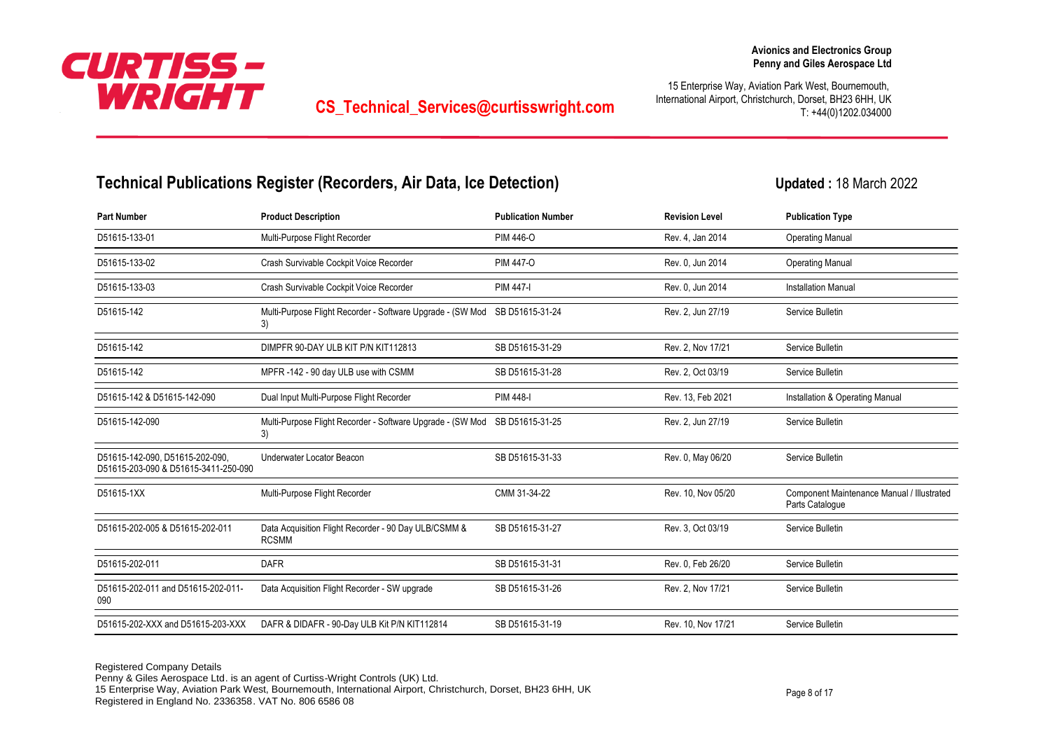

15 Enterprise Way, Aviation Park West, Bournemouth, International Airport, Christchurch, Dorset, BH23 6HH, UK T: +44(0)1202.034000

## **Technical Publications Register (Recorders, Air Data, Ice Detection)**

| <b>Part Number</b>                                                      | <b>Product Description</b>                                           | <b>Publication Number</b> | <b>Revision Level</b> | <b>Publication Type</b>                                       |
|-------------------------------------------------------------------------|----------------------------------------------------------------------|---------------------------|-----------------------|---------------------------------------------------------------|
| D51615-133-01                                                           | Multi-Purpose Flight Recorder                                        | <b>PIM 446-O</b>          | Rev. 4, Jan 2014      | <b>Operating Manual</b>                                       |
| D51615-133-02                                                           | Crash Survivable Cockpit Voice Recorder                              | <b>PIM 447-0</b>          | Rev. 0, Jun 2014      | <b>Operating Manual</b>                                       |
| D51615-133-03                                                           | Crash Survivable Cockpit Voice Recorder                              | <b>PIM 447-1</b>          | Rev. 0, Jun 2014      | <b>Installation Manual</b>                                    |
| D51615-142                                                              | Multi-Purpose Flight Recorder - Software Upgrade - (SW Mod<br>3)     | SB D51615-31-24           | Rev. 2, Jun 27/19     | Service Bulletin                                              |
| D51615-142                                                              | DIMPFR 90-DAY ULB KIT P/N KIT112813                                  | SB D51615-31-29           | Rev. 2, Nov 17/21     | Service Bulletin                                              |
| D51615-142                                                              | MPFR-142 - 90 day ULB use with CSMM                                  | SB D51615-31-28           | Rev. 2, Oct 03/19     | Service Bulletin                                              |
| D51615-142 & D51615-142-090                                             | Dual Input Multi-Purpose Flight Recorder                             | PIM 448-I                 | Rev. 13, Feb 2021     | Installation & Operating Manual                               |
| D51615-142-090                                                          | Multi-Purpose Flight Recorder - Software Upgrade - (SW Mod<br>3)     | SB D51615-31-25           | Rev. 2, Jun 27/19     | Service Bulletin                                              |
| D51615-142-090, D51615-202-090,<br>D51615-203-090 & D51615-3411-250-090 | Underwater Locator Beacon                                            | SB D51615-31-33           | Rev. 0, May 06/20     | Service Bulletin                                              |
| D51615-1XX                                                              | Multi-Purpose Flight Recorder                                        | CMM 31-34-22              | Rev. 10, Nov 05/20    | Component Maintenance Manual / Illustrated<br>Parts Catalogue |
| D51615-202-005 & D51615-202-011                                         | Data Acquisition Flight Recorder - 90 Day ULB/CSMM &<br><b>RCSMM</b> | SB D51615-31-27           | Rev. 3, Oct 03/19     | Service Bulletin                                              |
| D51615-202-011                                                          | <b>DAFR</b>                                                          | SB D51615-31-31           | Rev. 0, Feb 26/20     | Service Bulletin                                              |
| D51615-202-011 and D51615-202-011-<br>090                               | Data Acquisition Flight Recorder - SW upgrade                        | SB D51615-31-26           | Rev. 2, Nov 17/21     | Service Bulletin                                              |
| D51615-202-XXX and D51615-203-XXX                                       | DAFR & DIDAFR - 90-Day ULB Kit P/N KIT112814                         | SB D51615-31-19           | Rev. 10, Nov 17/21    | Service Bulletin                                              |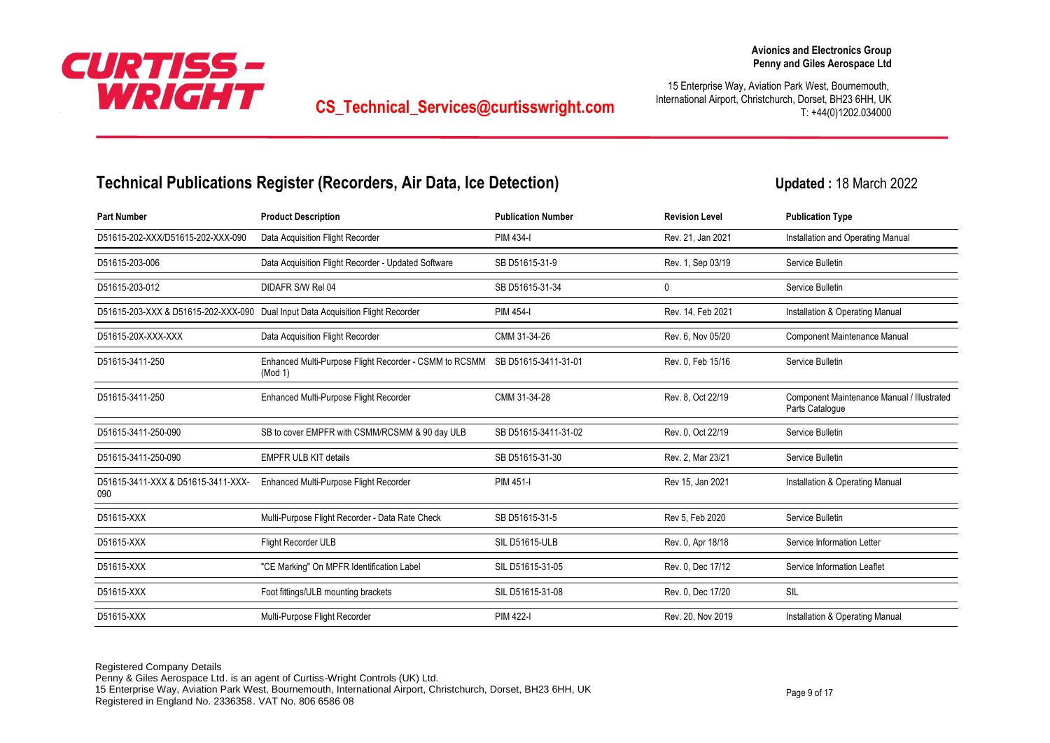

15 Enterprise Way, Aviation Park West, Bournemouth, International Airport, Christchurch, Dorset, BH23 6HH, UK T: +44(0)1202.034000

# **Technical Publications Register (Recorders, Air Data, Ice Detection)**

| <b>Part Number</b>                        | <b>Product Description</b>                                        | <b>Publication Number</b> | <b>Revision Level</b> | <b>Publication Type</b>                                       |
|-------------------------------------------|-------------------------------------------------------------------|---------------------------|-----------------------|---------------------------------------------------------------|
| D51615-202-XXX/D51615-202-XXX-090         | Data Acquisition Flight Recorder                                  | PIM 434-I                 | Rev. 21, Jan 2021     | Installation and Operating Manual                             |
| D51615-203-006                            | Data Acquisition Flight Recorder - Updated Software               | SB D51615-31-9            | Rev. 1, Sep 03/19     | Service Bulletin                                              |
| D51615-203-012                            | DIDAFR S/W Rel 04                                                 | SB D51615-31-34           | 0                     | Service Bulletin                                              |
| D51615-203-XXX & D51615-202-XXX-090       | Dual Input Data Acquisition Flight Recorder                       | PIM 454-I                 | Rev. 14, Feb 2021     | Installation & Operating Manual                               |
| D51615-20X-XXX-XXX                        | Data Acquisition Flight Recorder                                  | CMM 31-34-26              | Rev. 6, Nov 05/20     | <b>Component Maintenance Manual</b>                           |
| D51615-3411-250                           | Enhanced Multi-Purpose Flight Recorder - CSMM to RCSMM<br>(Mod 1) | SB D51615-3411-31-01      | Rev. 0, Feb 15/16     | Service Bulletin                                              |
| D51615-3411-250                           | Enhanced Multi-Purpose Flight Recorder                            | CMM 31-34-28              | Rev. 8, Oct 22/19     | Component Maintenance Manual / Illustrated<br>Parts Catalogue |
| D51615-3411-250-090                       | SB to cover EMPFR with CSMM/RCSMM & 90 day ULB                    | SB D51615-3411-31-02      | Rev. 0, Oct 22/19     | Service Bulletin                                              |
| D51615-3411-250-090                       | <b>EMPFR ULB KIT details</b>                                      | SB D51615-31-30           | Rev. 2, Mar 23/21     | Service Bulletin                                              |
| D51615-3411-XXX & D51615-3411-XXX-<br>090 | Enhanced Multi-Purpose Flight Recorder                            | PIM 451-                  | Rev 15, Jan 2021      | Installation & Operating Manual                               |
| D51615-XXX                                | Multi-Purpose Flight Recorder - Data Rate Check                   | SB D51615-31-5            | Rev 5, Feb 2020       | Service Bulletin                                              |
| D51615-XXX                                | Flight Recorder ULB                                               | <b>SIL D51615-ULB</b>     | Rev. 0, Apr 18/18     | Service Information Letter                                    |
| D51615-XXX                                | "CE Marking" On MPFR Identification Label                         | SIL D51615-31-05          | Rev. 0, Dec 17/12     | Service Information Leaflet                                   |
| D51615-XXX                                | Foot fittings/ULB mounting brackets                               | SIL D51615-31-08          | Rev. 0, Dec 17/20     | SIL                                                           |
| D51615-XXX                                | Multi-Purpose Flight Recorder                                     | <b>PIM 422-1</b>          | Rev. 20, Nov 2019     | Installation & Operating Manual                               |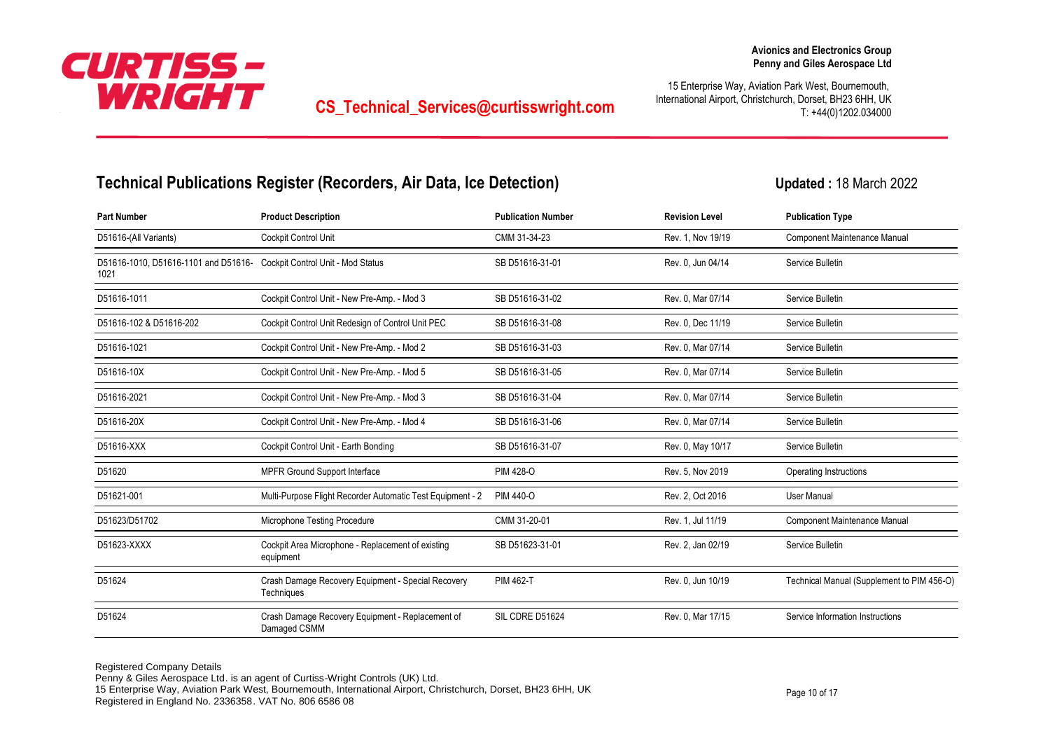

15 Enterprise Way, Aviation Park West, Bournemouth, International Airport, Christchurch, Dorset, BH23 6HH, UK T: +44(0)1202.034000

# **Technical Publications Register (Recorders, Air Data, Ice Detection)**

**Updated :** 18 March 2022

| <b>Part Number</b>                           | <b>Product Description</b>                                       | <b>Publication Number</b> | <b>Revision Level</b> | <b>Publication Type</b>                    |
|----------------------------------------------|------------------------------------------------------------------|---------------------------|-----------------------|--------------------------------------------|
| D51616-(All Variants)                        | <b>Cockpit Control Unit</b>                                      | CMM 31-34-23              | Rev. 1. Nov 19/19     | Component Maintenance Manual               |
| D51616-1010, D51616-1101 and D51616-<br>1021 | Cockpit Control Unit - Mod Status                                | SB D51616-31-01           | Rev. 0. Jun 04/14     | Service Bulletin                           |
| D51616-1011                                  | Cockpit Control Unit - New Pre-Amp. - Mod 3                      | SB D51616-31-02           | Rev. 0, Mar 07/14     | Service Bulletin                           |
| D51616-102 & D51616-202                      | Cockpit Control Unit Redesign of Control Unit PEC                | SB D51616-31-08           | Rev. 0, Dec 11/19     | Service Bulletin                           |
| D51616-1021                                  | Cockpit Control Unit - New Pre-Amp. - Mod 2                      | SB D51616-31-03           | Rev. 0, Mar 07/14     | Service Bulletin                           |
| D51616-10X                                   | Cockpit Control Unit - New Pre-Amp. - Mod 5                      | SB D51616-31-05           | Rev. 0, Mar 07/14     | Service Bulletin                           |
| D51616-2021                                  | Cockpit Control Unit - New Pre-Amp. - Mod 3                      | SB D51616-31-04           | Rev. 0, Mar 07/14     | Service Bulletin                           |
| D51616-20X                                   | Cockpit Control Unit - New Pre-Amp. - Mod 4                      | SB D51616-31-06           | Rev. 0. Mar 07/14     | Service Bulletin                           |
| D51616-XXX                                   | Cockpit Control Unit - Earth Bonding                             | SB D51616-31-07           | Rev. 0, May 10/17     | Service Bulletin                           |
| D51620                                       | MPFR Ground Support Interface                                    | <b>PIM 428-O</b>          | Rev. 5, Nov 2019      | Operating Instructions                     |
| D51621-001                                   | Multi-Purpose Flight Recorder Automatic Test Equipment - 2       | PIM 440-O                 | Rev. 2, Oct 2016      | <b>User Manual</b>                         |
| D51623/D51702                                | Microphone Testing Procedure                                     | CMM 31-20-01              | Rev. 1, Jul 11/19     | <b>Component Maintenance Manual</b>        |
| D51623-XXXX                                  | Cockpit Area Microphone - Replacement of existing<br>equipment   | SB D51623-31-01           | Rev. 2, Jan 02/19     | Service Bulletin                           |
| D51624                                       | Crash Damage Recovery Equipment - Special Recovery<br>Techniques | <b>PIM 462-T</b>          | Rev. 0, Jun 10/19     | Technical Manual (Supplement to PIM 456-O) |
| D51624                                       | Crash Damage Recovery Equipment - Replacement of<br>Damaged CSMM | SIL CDRE D51624           | Rev. 0, Mar 17/15     | Service Information Instructions           |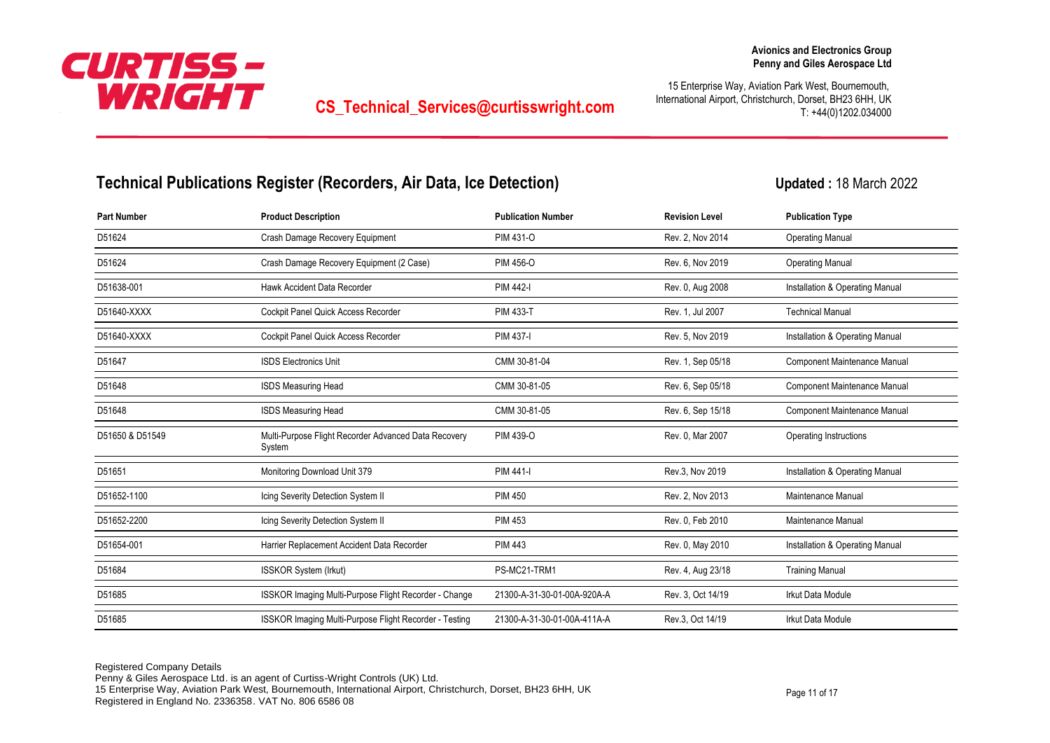

15 Enterprise Way, Aviation Park West, Bournemouth, International Airport, Christchurch, Dorset, BH23 6HH, UK T: +44(0)1202.034000

# **Technical Publications Register (Recorders, Air Data, Ice Detection)**

| <b>Part Number</b> | <b>Product Description</b>                                     | <b>Publication Number</b>   | <b>Revision Level</b> | <b>Publication Type</b>         |
|--------------------|----------------------------------------------------------------|-----------------------------|-----------------------|---------------------------------|
| D51624             | Crash Damage Recovery Equipment                                | PIM 431-O                   | Rev. 2, Nov 2014      | <b>Operating Manual</b>         |
| D51624             | Crash Damage Recovery Equipment (2 Case)                       | <b>PIM 456-O</b>            | Rev. 6, Nov 2019      | <b>Operating Manual</b>         |
| D51638-001         | Hawk Accident Data Recorder                                    | PIM 442-I                   | Rev. 0, Aug 2008      | Installation & Operating Manual |
| D51640-XXXX        | Cockpit Panel Quick Access Recorder                            | <b>PIM 433-T</b>            | Rev. 1, Jul 2007      | <b>Technical Manual</b>         |
| D51640-XXXX        | Cockpit Panel Quick Access Recorder                            | PIM 437-                    | Rev. 5, Nov 2019      | Installation & Operating Manual |
| D51647             | <b>ISDS Electronics Unit</b>                                   | CMM 30-81-04                | Rev. 1, Sep 05/18     | Component Maintenance Manual    |
| D51648             | <b>ISDS Measuring Head</b>                                     | CMM 30-81-05                | Rev. 6, Sep 05/18     | Component Maintenance Manual    |
| D51648             | <b>ISDS Measuring Head</b>                                     | CMM 30-81-05                | Rev. 6, Sep 15/18     | Component Maintenance Manual    |
| D51650 & D51549    | Multi-Purpose Flight Recorder Advanced Data Recovery<br>System | PIM 439-O                   | Rev. 0, Mar 2007      | Operating Instructions          |
| D51651             | Monitoring Download Unit 379                                   | PIM 441-I                   | Rev.3, Nov 2019       | Installation & Operating Manual |
| D51652-1100        | Icing Severity Detection System II                             | <b>PIM 450</b>              | Rev. 2. Nov 2013      | Maintenance Manual              |
| D51652-2200        | Icing Severity Detection System II                             | <b>PIM 453</b>              | Rev. 0, Feb 2010      | Maintenance Manual              |
| D51654-001         | Harrier Replacement Accident Data Recorder                     | <b>PIM 443</b>              | Rev. 0, May 2010      | Installation & Operating Manual |
| D51684             | <b>ISSKOR System (Irkut)</b>                                   | PS-MC21-TRM1                | Rev. 4, Aug 23/18     | <b>Training Manual</b>          |
| D51685             | ISSKOR Imaging Multi-Purpose Flight Recorder - Change          | 21300-A-31-30-01-00A-920A-A | Rev. 3, Oct 14/19     | <b>Irkut Data Module</b>        |
| D51685             | ISSKOR Imaging Multi-Purpose Flight Recorder - Testing         | 21300-A-31-30-01-00A-411A-A | Rev.3, Oct 14/19      | <b>Irkut Data Module</b>        |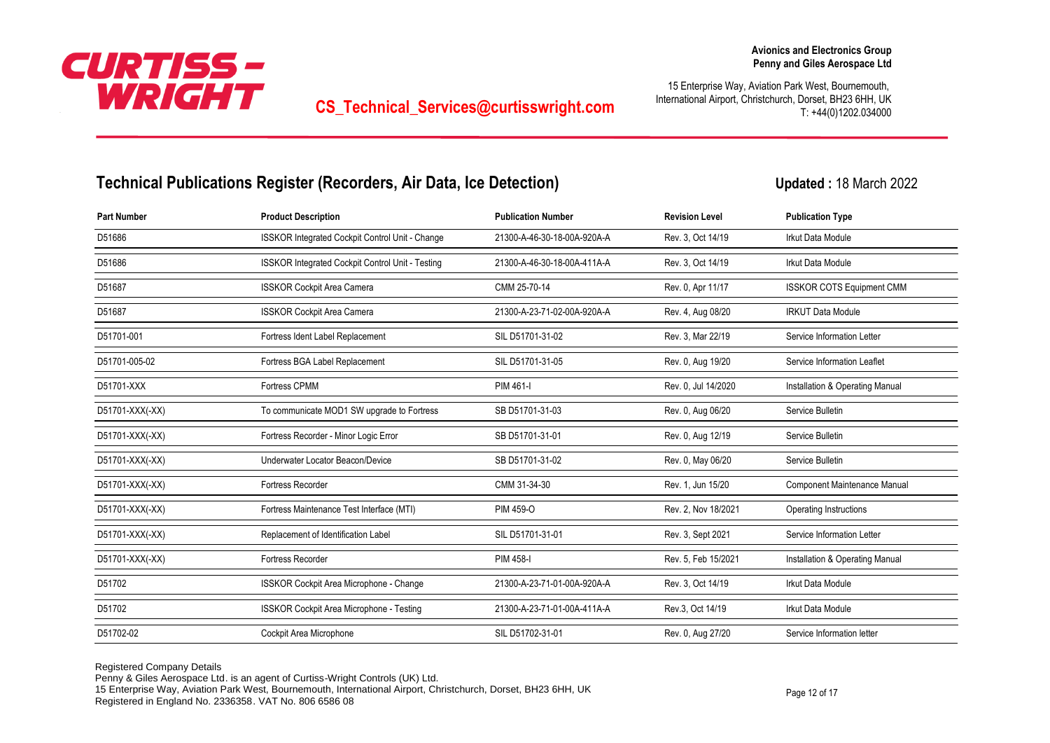

15 Enterprise Way, Aviation Park West, Bournemouth, International Airport, Christchurch, Dorset, BH23 6HH, UK T: +44(0)1202.034000

## **Technical Publications Register (Recorders, Air Data, Ice Detection)**

**Updated :** 18 March 2022

| <b>Part Number</b> | <b>Product Description</b>                              | <b>Publication Number</b>   | <b>Revision Level</b> | <b>Publication Type</b>          |
|--------------------|---------------------------------------------------------|-----------------------------|-----------------------|----------------------------------|
| D51686             | <b>ISSKOR Integrated Cockpit Control Unit - Change</b>  | 21300-A-46-30-18-00A-920A-A | Rev. 3, Oct 14/19     | <b>Irkut Data Module</b>         |
| D51686             | <b>ISSKOR Integrated Cockpit Control Unit - Testing</b> | 21300-A-46-30-18-00A-411A-A | Rev. 3, Oct 14/19     | <b>Irkut Data Module</b>         |
| D51687             | <b>ISSKOR Cockpit Area Camera</b>                       | CMM 25-70-14                | Rev. 0, Apr 11/17     | <b>ISSKOR COTS Equipment CMM</b> |
| D51687             | <b>ISSKOR Cockpit Area Camera</b>                       | 21300-A-23-71-02-00A-920A-A | Rev. 4, Aug 08/20     | <b>IRKUT Data Module</b>         |
| D51701-001         | Fortress Ident Label Replacement                        | SIL D51701-31-02            | Rev. 3, Mar 22/19     | Service Information Letter       |
| D51701-005-02      | Fortress BGA Label Replacement                          | SIL D51701-31-05            | Rev. 0, Aug 19/20     | Service Information Leaflet      |
| D51701-XXX         | <b>Fortress CPMM</b>                                    | PIM 461-                    | Rev. 0, Jul 14/2020   | Installation & Operating Manual  |
| D51701-XXX(-XX)    | To communicate MOD1 SW upgrade to Fortress              | SB D51701-31-03             | Rev. 0, Aug 06/20     | Service Bulletin                 |
| D51701-XXX(-XX)    | Fortress Recorder - Minor Logic Error                   | SB D51701-31-01             | Rev. 0, Aug 12/19     | Service Bulletin                 |
| D51701-XXX(-XX)    | Underwater Locator Beacon/Device                        | SB D51701-31-02             | Rev. 0, May 06/20     | Service Bulletin                 |
| D51701-XXX(-XX)    | Fortress Recorder                                       | CMM 31-34-30                | Rev. 1. Jun 15/20     | Component Maintenance Manual     |
| D51701-XXX(-XX)    | Fortress Maintenance Test Interface (MTI)               | <b>PIM 459-O</b>            | Rev. 2, Nov 18/2021   | Operating Instructions           |
| D51701-XXX(-XX)    | Replacement of Identification Label                     | SIL D51701-31-01            | Rev. 3, Sept 2021     | Service Information Letter       |
| D51701-XXX(-XX)    | Fortress Recorder                                       | PIM 458-I                   | Rev. 5, Feb 15/2021   | Installation & Operating Manual  |
| D51702             | ISSKOR Cockpit Area Microphone - Change                 | 21300-A-23-71-01-00A-920A-A | Rev. 3, Oct 14/19     | Irkut Data Module                |
| D51702             | ISSKOR Cockpit Area Microphone - Testing                | 21300-A-23-71-01-00A-411A-A | Rev.3, Oct 14/19      | <b>Irkut Data Module</b>         |
| D51702-02          | Cockpit Area Microphone                                 | SIL D51702-31-01            | Rev. 0, Aug 27/20     | Service Information letter       |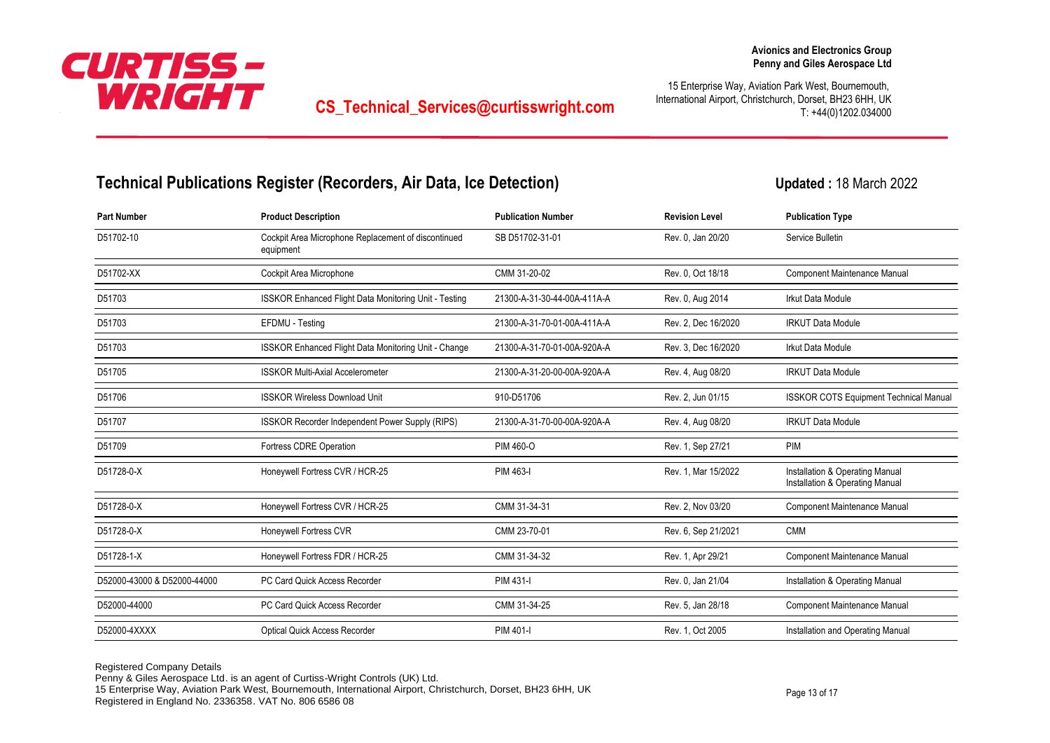

15 Enterprise Way, Aviation Park West, Bournemouth, International Airport, Christchurch, Dorset, BH23 6HH, UK T: +44(0)1202.034000

# **Technical Publications Register (Recorders, Air Data, Ice Detection)**

**Updated :** 18 March 2022

| <b>Part Number</b>          | <b>Product Description</b>                                       | <b>Publication Number</b>   | <b>Revision Level</b> | <b>Publication Type</b>                                            |
|-----------------------------|------------------------------------------------------------------|-----------------------------|-----------------------|--------------------------------------------------------------------|
| D51702-10                   | Cockpit Area Microphone Replacement of discontinued<br>equipment | SB D51702-31-01             | Rev. 0, Jan 20/20     | Service Bulletin                                                   |
| D51702-XX                   | Cockpit Area Microphone                                          | CMM 31-20-02                | Rev. 0, Oct 18/18     | Component Maintenance Manual                                       |
| D51703                      | ISSKOR Enhanced Flight Data Monitoring Unit - Testing            | 21300-A-31-30-44-00A-411A-A | Rev. 0, Aug 2014      | <b>Irkut Data Module</b>                                           |
| D51703                      | EFDMU - Testing                                                  | 21300-A-31-70-01-00A-411A-A | Rev. 2, Dec 16/2020   | <b>IRKUT Data Module</b>                                           |
| D51703                      | ISSKOR Enhanced Flight Data Monitoring Unit - Change             | 21300-A-31-70-01-00A-920A-A | Rev. 3, Dec 16/2020   | <b>Irkut Data Module</b>                                           |
| D51705                      | <b>ISSKOR Multi-Axial Accelerometer</b>                          | 21300-A-31-20-00-00A-920A-A | Rev. 4, Aug 08/20     | <b>IRKUT Data Module</b>                                           |
| D51706                      | <b>ISSKOR Wireless Download Unit</b>                             | 910-D51706                  | Rev. 2, Jun 01/15     | <b>ISSKOR COTS Equipment Technical Manual</b>                      |
| D51707                      | ISSKOR Recorder Independent Power Supply (RIPS)                  | 21300-A-31-70-00-00A-920A-A | Rev. 4, Aug 08/20     | <b>IRKUT Data Module</b>                                           |
| D51709                      | Fortress CDRE Operation                                          | <b>PIM 460-O</b>            | Rev. 1, Sep 27/21     | PIM                                                                |
| D51728-0-X                  | Honeywell Fortress CVR / HCR-25                                  | PIM 463-I                   | Rev. 1, Mar 15/2022   | Installation & Operating Manual<br>Installation & Operating Manual |
| D51728-0-X                  | Honeywell Fortress CVR / HCR-25                                  | CMM 31-34-31                | Rev. 2, Nov 03/20     | Component Maintenance Manual                                       |
| D51728-0-X                  | Honeywell Fortress CVR                                           | CMM 23-70-01                | Rev. 6, Sep 21/2021   | <b>CMM</b>                                                         |
| D51728-1-X                  | Honeywell Fortress FDR / HCR-25                                  | CMM 31-34-32                | Rev. 1, Apr 29/21     | Component Maintenance Manual                                       |
| D52000-43000 & D52000-44000 | PC Card Quick Access Recorder                                    | PIM 431-                    | Rev. 0, Jan 21/04     | Installation & Operating Manual                                    |
| D52000-44000                | PC Card Quick Access Recorder                                    | CMM 31-34-25                | Rev. 5, Jan 28/18     | Component Maintenance Manual                                       |
| D52000-4XXXX                | <b>Optical Quick Access Recorder</b>                             | PIM 401-I                   | Rev. 1, Oct 2005      | Installation and Operating Manual                                  |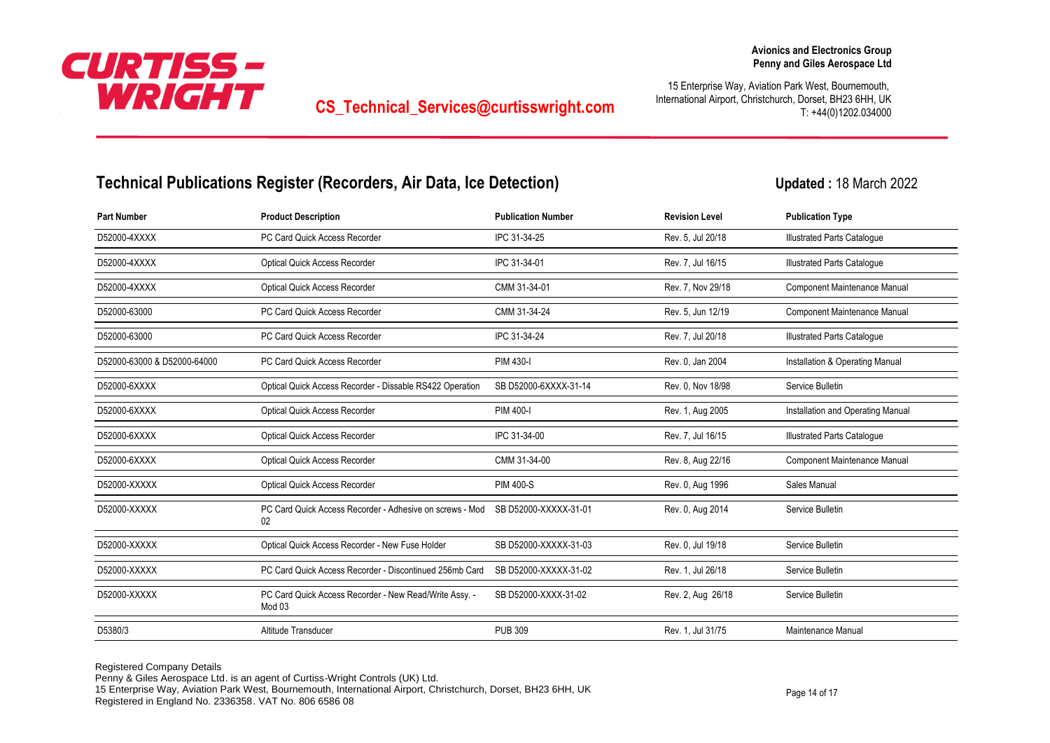

15 Enterprise Way, Aviation Park West, Bournemouth, International Airport, Christchurch, Dorset, BH23 6HH, UK T: +44(0)1202.034000

### **Technical Publications Register (Recorders, Air Data, Ice Detection)**

**Updated :** 18 March 2022

| <b>Part Number</b>          | <b>Product Description</b>                                       | <b>Publication Number</b> | <b>Revision Level</b> | <b>Publication Type</b>            |
|-----------------------------|------------------------------------------------------------------|---------------------------|-----------------------|------------------------------------|
| D52000-4XXXX                | PC Card Quick Access Recorder                                    | IPC 31-34-25              | Rev. 5, Jul 20/18     | <b>Illustrated Parts Catalogue</b> |
| D52000-4XXXX                | <b>Optical Quick Access Recorder</b>                             | IPC 31-34-01              | Rev. 7, Jul 16/15     | Illustrated Parts Catalogue        |
| D52000-4XXXX                | <b>Optical Quick Access Recorder</b>                             | CMM 31-34-01              | Rev. 7, Nov 29/18     | Component Maintenance Manual       |
| D52000-63000                | PC Card Quick Access Recorder                                    | CMM 31-34-24              | Rev. 5, Jun 12/19     | Component Maintenance Manual       |
| D52000-63000                | PC Card Quick Access Recorder                                    | IPC 31-34-24              | Rev. 7, Jul 20/18     | <b>Illustrated Parts Catalogue</b> |
| D52000-63000 & D52000-64000 | PC Card Quick Access Recorder                                    | PIM 430-I                 | Rev. 0, Jan 2004      | Installation & Operating Manual    |
| D52000-6XXXX                | Optical Quick Access Recorder - Dissable RS422 Operation         | SB D52000-6XXXX-31-14     | Rev. 0, Nov 18/98     | Service Bulletin                   |
| D52000-6XXXX                | Optical Quick Access Recorder                                    | PIM 400-I                 | Rev. 1, Aug 2005      | Installation and Operating Manual  |
| D52000-6XXXX                | <b>Optical Quick Access Recorder</b>                             | IPC 31-34-00              | Rev. 7, Jul 16/15     | <b>Illustrated Parts Catalogue</b> |
| D52000-6XXXX                | Optical Quick Access Recorder                                    | CMM 31-34-00              | Rev. 8, Aug 22/16     | Component Maintenance Manual       |
| D52000-XXXXX                | <b>Optical Quick Access Recorder</b>                             | <b>PIM 400-S</b>          | Rev. 0, Aug 1996      | Sales Manual                       |
| D52000-XXXXX                | PC Card Quick Access Recorder - Adhesive on screws - Mod<br>02   | SB D52000-XXXXX-31-01     | Rev. 0, Aug 2014      | Service Bulletin                   |
| D52000-XXXXX                | Optical Quick Access Recorder - New Fuse Holder                  | SB D52000-XXXXX-31-03     | Rev. 0, Jul 19/18     | Service Bulletin                   |
| D52000-XXXXX                | PC Card Quick Access Recorder - Discontinued 256mb Card          | SB D52000-XXXXX-31-02     | Rev. 1, Jul 26/18     | Service Bulletin                   |
| D52000-XXXXX                | PC Card Quick Access Recorder - New Read/Write Assy. -<br>Mod 03 | SB D52000-XXXX-31-02      | Rev. 2, Aug 26/18     | Service Bulletin                   |
| D5380/3                     | Altitude Transducer                                              | <b>PUB 309</b>            | Rev. 1, Jul 31/75     | Maintenance Manual                 |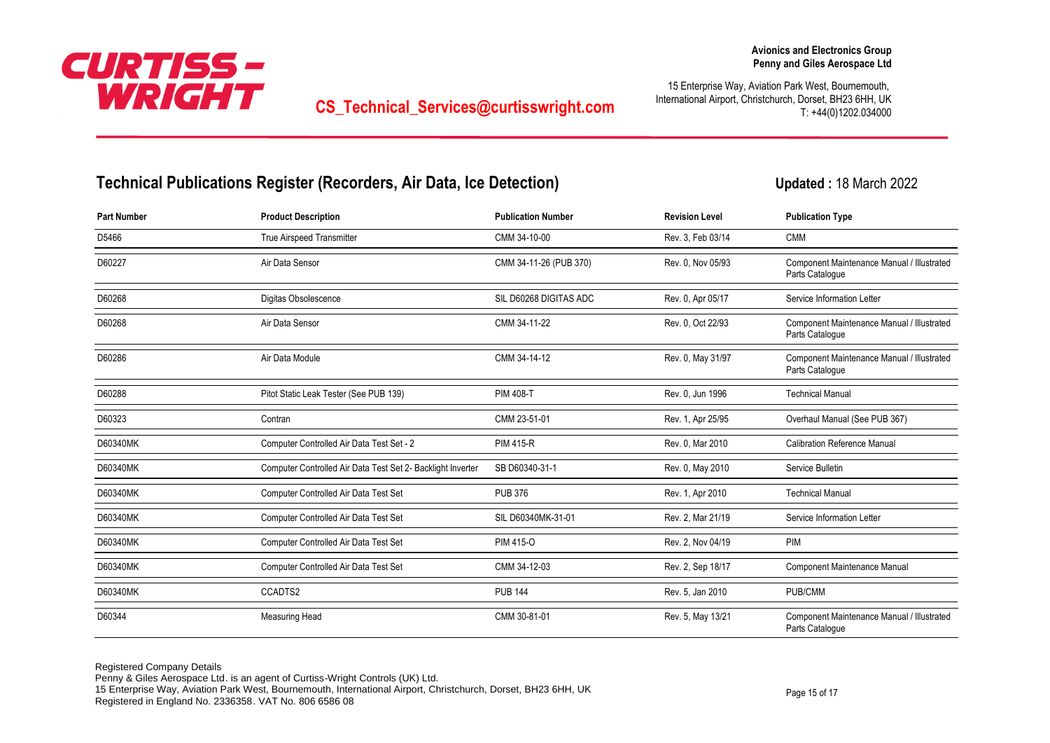

15 Enterprise Way, Aviation Park West, Bournemouth, International Airport, Christchurch, Dorset, BH23 6HH, UK T: +44(0)1202.034000

# **Technical Publications Register (Recorders, Air Data, Ice Detection)**

**Updated :** 18 March 2022

| <b>Part Number</b> | <b>Product Description</b>                                  | <b>Publication Number</b> | <b>Revision Level</b> | <b>Publication Type</b>                                       |
|--------------------|-------------------------------------------------------------|---------------------------|-----------------------|---------------------------------------------------------------|
| D5466              | True Airspeed Transmitter                                   | CMM 34-10-00              | Rev. 3, Feb 03/14     | <b>CMM</b>                                                    |
| D60227             | Air Data Sensor                                             | CMM 34-11-26 (PUB 370)    | Rev. 0, Nov 05/93     | Component Maintenance Manual / Illustrated<br>Parts Catalogue |
| D60268             | Digitas Obsolescence                                        | SIL D60268 DIGITAS ADC    | Rev. 0, Apr 05/17     | Service Information Letter                                    |
| D60268             | Air Data Sensor                                             | CMM 34-11-22              | Rev. 0, Oct 22/93     | Component Maintenance Manual / Illustrated<br>Parts Catalogue |
| D60286             | Air Data Module                                             | CMM 34-14-12              | Rev. 0, May 31/97     | Component Maintenance Manual / Illustrated<br>Parts Catalogue |
| D60288             | Pitot Static Leak Tester (See PUB 139)                      | <b>PIM 408-T</b>          | Rev. 0, Jun 1996      | <b>Technical Manual</b>                                       |
| D60323             | Contran                                                     | CMM 23-51-01              | Rev. 1, Apr 25/95     | Overhaul Manual (See PUB 367)                                 |
| D60340MK           | Computer Controlled Air Data Test Set - 2                   | <b>PIM 415-R</b>          | Rev. 0, Mar 2010      | Calibration Reference Manual                                  |
| D60340MK           | Computer Controlled Air Data Test Set 2- Backlight Inverter | SB D60340-31-1            | Rev. 0, May 2010      | Service Bulletin                                              |
| D60340MK           | Computer Controlled Air Data Test Set                       | <b>PUB 376</b>            | Rev. 1, Apr 2010      | <b>Technical Manual</b>                                       |
| D60340MK           | Computer Controlled Air Data Test Set                       | SIL D60340MK-31-01        | Rev. 2, Mar 21/19     | Service Information Letter                                    |
| D60340MK           | Computer Controlled Air Data Test Set                       | <b>PIM 415-O</b>          | Rev. 2, Nov 04/19     | PIM                                                           |
| D60340MK           | Computer Controlled Air Data Test Set                       | CMM 34-12-03              | Rev. 2, Sep 18/17     | <b>Component Maintenance Manual</b>                           |
| D60340MK           | CCADTS2                                                     | <b>PUB 144</b>            | Rev. 5, Jan 2010      | PUB/CMM                                                       |
| D60344             | Measuring Head                                              | CMM 30-81-01              | Rev. 5, May 13/21     | Component Maintenance Manual / Illustrated<br>Parts Catalogue |

Registered Company Details

Penny & Giles Aerospace Ltd. is an agent of Curtiss-Wright Controls (UK) Ltd. 15 Enterprise Way, Aviation Park West, Bournemouth, International Airport, Christchurch, Dorset, BH23 6HH, UK Registered in England No. 2336358. VAT No. 806 6586 08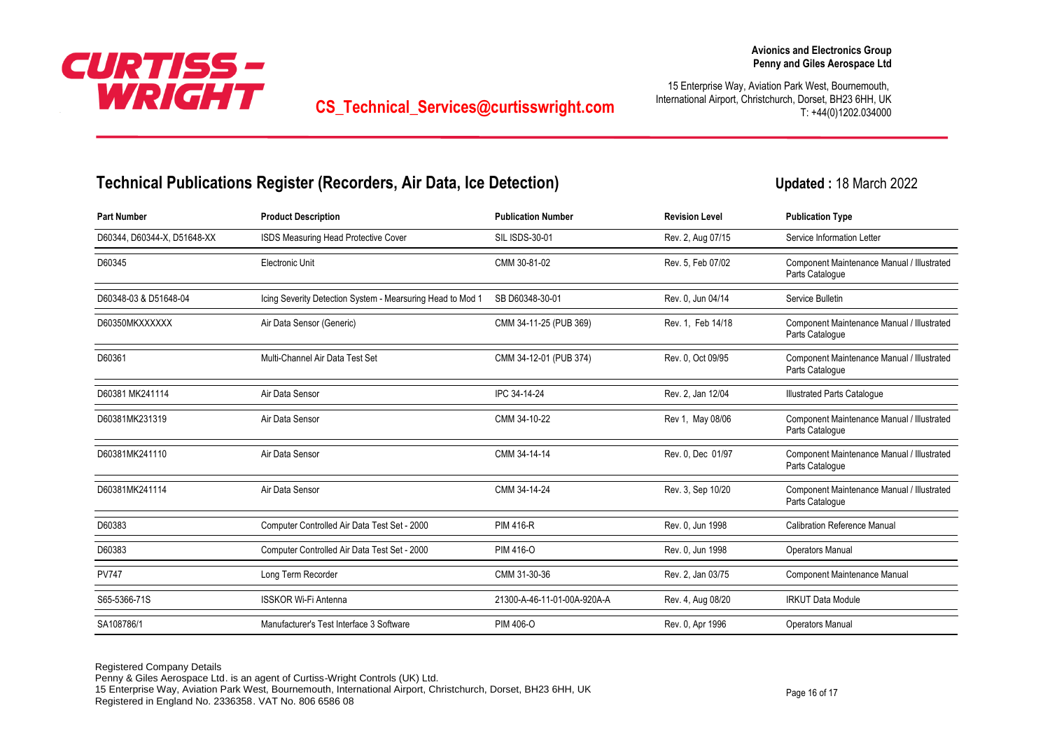

15 Enterprise Way, Aviation Park West, Bournemouth, International Airport, Christchurch, Dorset, BH23 6HH, UK T: +44(0)1202.034000

## **Technical Publications Register (Recorders, Air Data, Ice Detection)**

| <b>Part Number</b>          | <b>Product Description</b>                                 | <b>Publication Number</b>   | <b>Revision Level</b> | <b>Publication Type</b>                                       |
|-----------------------------|------------------------------------------------------------|-----------------------------|-----------------------|---------------------------------------------------------------|
| D60344, D60344-X, D51648-XX | ISDS Measuring Head Protective Cover                       | <b>SIL ISDS-30-01</b>       | Rev. 2, Aug 07/15     | Service Information Letter                                    |
| D60345                      | <b>Electronic Unit</b>                                     | CMM 30-81-02                | Rev. 5, Feb 07/02     | Component Maintenance Manual / Illustrated<br>Parts Catalogue |
| D60348-03 & D51648-04       | Icing Severity Detection System - Mearsuring Head to Mod 1 | SB D60348-30-01             | Rev. 0. Jun 04/14     | Service Bulletin                                              |
| D60350MKXXXXXX              | Air Data Sensor (Generic)                                  | CMM 34-11-25 (PUB 369)      | Rev. 1, Feb 14/18     | Component Maintenance Manual / Illustrated<br>Parts Catalogue |
| D60361                      | Multi-Channel Air Data Test Set                            | CMM 34-12-01 (PUB 374)      | Rev. 0, Oct 09/95     | Component Maintenance Manual / Illustrated<br>Parts Catalogue |
| D60381 MK241114             | Air Data Sensor                                            | IPC 34-14-24                | Rev. 2, Jan 12/04     | <b>Illustrated Parts Cataloque</b>                            |
| D60381MK231319              | Air Data Sensor                                            | CMM 34-10-22                | Rev 1, May 08/06      | Component Maintenance Manual / Illustrated<br>Parts Catalogue |
| D60381MK241110              | Air Data Sensor                                            | CMM 34-14-14                | Rev. 0, Dec 01/97     | Component Maintenance Manual / Illustrated<br>Parts Catalogue |
| D60381MK241114              | Air Data Sensor                                            | CMM 34-14-24                | Rev. 3, Sep 10/20     | Component Maintenance Manual / Illustrated<br>Parts Catalogue |
| D60383                      | Computer Controlled Air Data Test Set - 2000               | <b>PIM 416-R</b>            | Rev. 0. Jun 1998      | <b>Calibration Reference Manual</b>                           |
| D60383                      | Computer Controlled Air Data Test Set - 2000               | <b>PIM 416-O</b>            | Rev. 0, Jun 1998      | <b>Operators Manual</b>                                       |
| <b>PV747</b>                | Long Term Recorder                                         | CMM 31-30-36                | Rev. 2, Jan 03/75     | Component Maintenance Manual                                  |
| S65-5366-71S                | <b>ISSKOR Wi-Fi Antenna</b>                                | 21300-A-46-11-01-00A-920A-A | Rev. 4, Aug 08/20     | <b>IRKUT Data Module</b>                                      |
| SA108786/1                  | Manufacturer's Test Interface 3 Software                   | <b>PIM 406-O</b>            | Rev. 0, Apr 1996      | <b>Operators Manual</b>                                       |